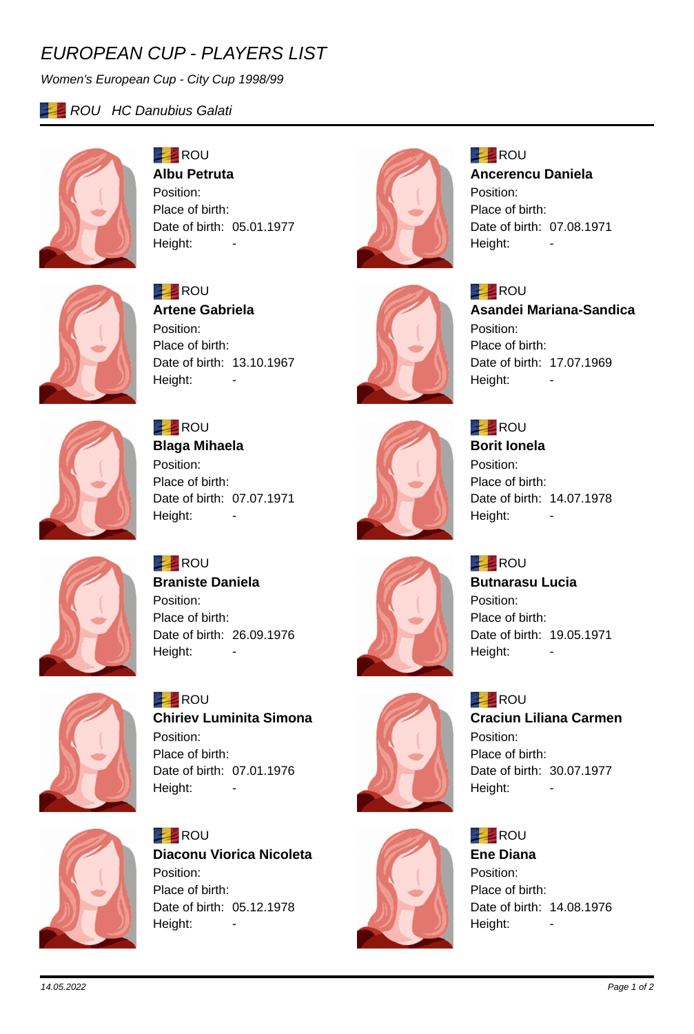# *EUROPEAN CUP - PLAYERS LIST*

*Women's European Cup - City Cup 1998/99*

## **ROU HC Danubius Galati**



#### **ROU Albu Petruta**

Position: Place of birth: Date of birth: 05.01.1977 Height: -



## **ROU Ancerencu Daniela** Position:

Place of birth: Date of birth: 07.08.1971 Height: -



### **Asandei Mariana-Sandica** Position: Place of birth: Date of birth: 17.07.1969 Height:



## **ROU Artene Gabriela** Position: Place of birth: Date of birth: 13.10.1967 Height:





**ROU Borit Ionela** Position: Place of birth: Date of birth: 14.07.1978 Height:

### **EXAMPLE** ROU **Butnarasu Lucia** Position: Place of birth: Date of birth: 19.05.1971 Height: -









**ROU Braniste Daniela** Position: Place of birth: Date of birth: 26.09.1976 Height: -

Height:



**BEL** ROU **Chiriev Luminita Simona** Position: Place of birth: Date of birth: 07.01.1976 Height: -



**ROU Diaconu Viorica Nicoleta** Position: Place of birth: Date of birth: 05.12.1978 Height: